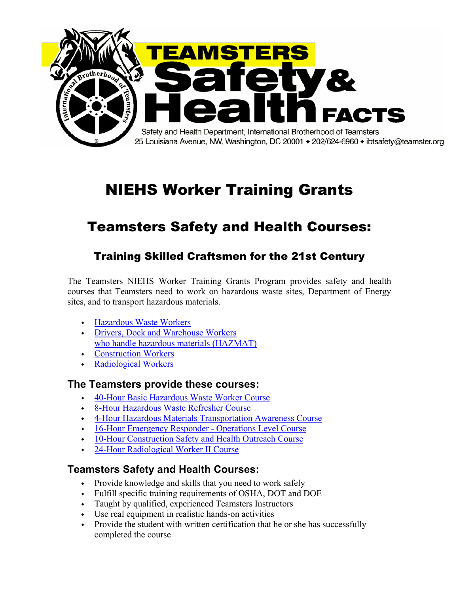

# NIEHS Worker Training Grants

# Teamsters Safety and Health Courses:

# Training Skilled Craftsmen for the 21st Century

The Teamsters NIEHS Worker Training Grants Program provides safety and health courses that Teamsters need to work on hazardous waste sites, Department of Energy sites, and to transport hazardous materials.

- ◆ Hazardous Waste Workers
- ◆ Drivers, Dock and Warehouse Workers who handle hazardous materials (HAZMAT)
- ◆ Construction Workers
- ◆ Radiological Workers

### **The Teamsters provide these courses:**

- 40-Hour Basic Hazardous Waste Worker Course
- ◆ 8-Hour Hazardous Waste Refresher Course
- ◆ 4-Hour Hazardous Materials Transportation Awareness Course
- ◆ 16-Hour Emergency Responder Operations Level Course
- ◆ 10-Hour Construction Safety and Health Outreach Course
- 24-Hour Radiological Worker II Course

# **Teamsters Safety and Health Courses:**

- Provide knowledge and skills that you need to work safely
- ◆ Fulfill specific training requirements of OSHA, DOT and DOE
- ◆ Taught by qualified, experienced Teamsters Instructors
- ◆ Use real equipment in realistic hands-on activities
- Provide the student with written certification that he or she has successfully completed the course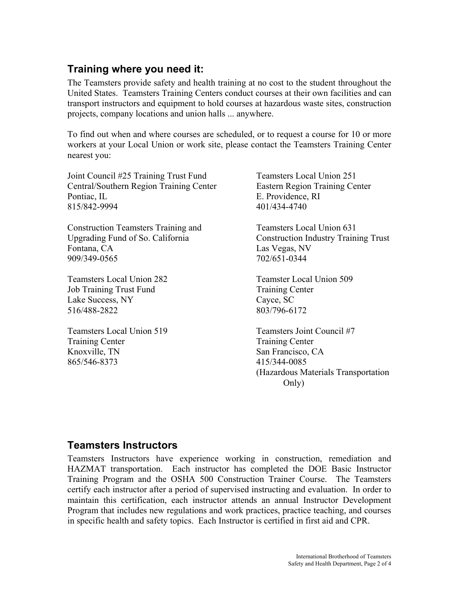# **Training where you need it:**

The Teamsters provide safety and health training at no cost to the student throughout the United States. Teamsters Training Centers conduct courses at their own facilities and can transport instructors and equipment to hold courses at hazardous waste sites, construction projects, company locations and union halls ... anywhere.

To find out when and where courses are scheduled, or to request a course for 10 or more workers at your Local Union or work site, please contact the Teamsters Training Center nearest you:

Joint Council #25 Training Trust Fund Teamsters Local Union 251 Central/Southern Region Training Center Eastern Region Training Center Pontiac, IL E. Providence, RI 815/842-9994 401/434-4740

Construction Teamsters Training and Teamsters Local Union 631 Fontana, CA Las Vegas, NV 909/349-0565 702/651-0344

Teamsters Local Union 282 Teamster Local Union 509 Job Training Trust Fund Training Center Lake Success, NY Cayce, SC 516/488-2822 803/796-6172

Teamsters Local Union 519 Teamsters Joint Council #7 Training Center Training Center Knoxville, TN San Francisco, CA 865/546-8373 415/344-0085

Upgrading Fund of So. California Construction Industry Training Trust

 (Hazardous Materials Transportation Only)

# **Teamsters Instructors**

Teamsters Instructors have experience working in construction, remediation and HAZMAT transportation. Each instructor has completed the DOE Basic Instructor Training Program and the OSHA 500 Construction Trainer Course. The Teamsters certify each instructor after a period of supervised instructing and evaluation. In order to maintain this certification, each instructor attends an annual Instructor Development Program that includes new regulations and work practices, practice teaching, and courses in specific health and safety topics. Each Instructor is certified in first aid and CPR.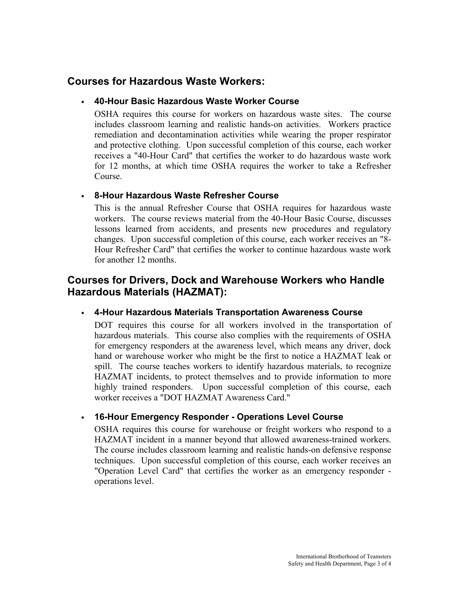## **Courses for Hazardous Waste Workers:**

#### ◆ **40-Hour Basic Hazardous Waste Worker Course**

OSHA requires this course for workers on hazardous waste sites. The course includes classroom learning and realistic hands-on activities. Workers practice remediation and decontamination activities while wearing the proper respirator and protective clothing. Upon successful completion of this course, each worker receives a "40-Hour Card" that certifies the worker to do hazardous waste work for 12 months, at which time OSHA requires the worker to take a Refresher Course.

#### ◆ **8-Hour Hazardous Waste Refresher Course**

This is the annual Refresher Course that OSHA requires for hazardous waste workers. The course reviews material from the 40-Hour Basic Course, discusses lessons learned from accidents, and presents new procedures and regulatory changes. Upon successful completion of this course, each worker receives an "8- Hour Refresher Card" that certifies the worker to continue hazardous waste work for another 12 months.

## **Courses for Drivers, Dock and Warehouse Workers who Handle Hazardous Materials (HAZMAT):**

#### ◆ **4-Hour Hazardous Materials Transportation Awareness Course**

DOT requires this course for all workers involved in the transportation of hazardous materials. This course also complies with the requirements of OSHA for emergency responders at the awareness level, which means any driver, dock hand or warehouse worker who might be the first to notice a HAZMAT leak or spill. The course teaches workers to identify hazardous materials, to recognize HAZMAT incidents, to protect themselves and to provide information to more highly trained responders. Upon successful completion of this course, each worker receives a "DOT HAZMAT Awareness Card."

#### ◆ **16-Hour Emergency Responder - Operations Level Course**

OSHA requires this course for warehouse or freight workers who respond to a HAZMAT incident in a manner beyond that allowed awareness-trained workers. The course includes classroom learning and realistic hands-on defensive response techniques. Upon successful completion of this course, each worker receives an "Operation Level Card" that certifies the worker as an emergency responder operations level.